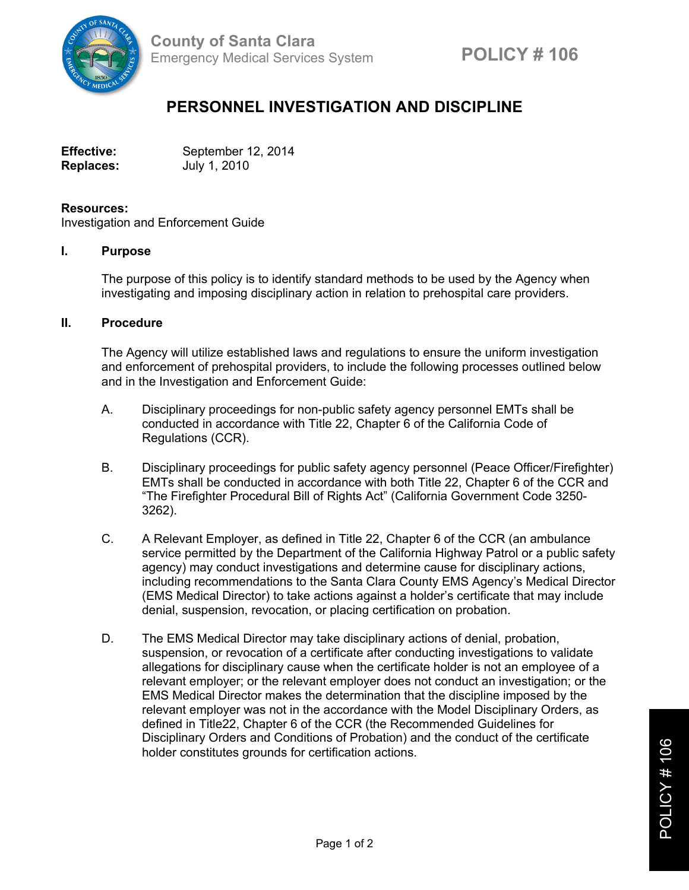

## **PERSONNEL INVESTIGATION AND DISCIPLINE**

| <b>Effective:</b> | September 12, 2014 |
|-------------------|--------------------|
| <b>Replaces:</b>  | July 1, 2010       |

## **Resources:**

Investigation and Enforcement Guide

## **I. Purpose**

The purpose of this policy is to identify standard methods to be used by the Agency when investigating and imposing disciplinary action in relation to prehospital care providers.

## **II. Procedure**

The Agency will utilize established laws and regulations to ensure the uniform investigation and enforcement of prehospital providers, to include the following processes outlined below and in the Investigation and Enforcement Guide:

- A. Disciplinary proceedings for non-public safety agency personnel EMTs shall be conducted in accordance with Title 22, Chapter 6 of the California Code of Regulations (CCR).
- B. Disciplinary proceedings for public safety agency personnel (Peace Officer/Firefighter) EMTs shall be conducted in accordance with both Title 22, Chapter 6 of the CCR and "The Firefighter Procedural Bill of Rights Act" (California Government Code 3250- 3262).
- C. A Relevant Employer, as defined in Title 22, Chapter 6 of the CCR (an ambulance service permitted by the Department of the California Highway Patrol or a public safety agency) may conduct investigations and determine cause for disciplinary actions, including recommendations to the Santa Clara County EMS Agency's Medical Director (EMS Medical Director) to take actions against a holder's certificate that may include denial, suspension, revocation, or placing certification on probation.
- D. The EMS Medical Director may take disciplinary actions of denial, probation, suspension, or revocation of a certificate after conducting investigations to validate allegations for disciplinary cause when the certificate holder is not an employee of a relevant employer; or the relevant employer does not conduct an investigation; or the EMS Medical Director makes the determination that the discipline imposed by the relevant employer was not in the accordance with the Model Disciplinary Orders, as defined in Title22, Chapter 6 of the CCR (the Recommended Guidelines for Disciplinary Orders and Conditions of Probation) and the conduct of the certificate holder constitutes grounds for certification actions.